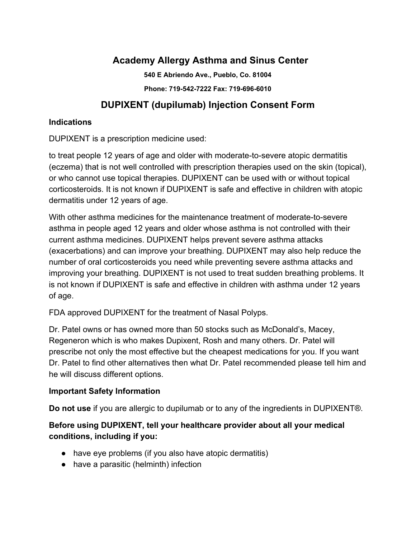## **Academy Allergy Asthma and Sinus Center**

**540 E Abriendo Ave., Pueblo, Co. 81004 Phone: 719-542-7222 Fax: 719-696-6010** 

# **DUPIXENT (dupilumab) Injection Consent Form**

#### **Indications**

DUPIXENT is a prescription medicine used:

to treat people 12 years of age and older with moderate-to-severe atopic dermatitis (eczema) that is not well controlled with prescription therapies used on the skin (topical), or who cannot use topical therapies. DUPIXENT can be used with or without topical corticosteroids. It is not known if DUPIXENT is safe and effective in children with atopic dermatitis under 12 years of age.

With other asthma medicines for the maintenance treatment of moderate-to-severe asthma in people aged 12 years and older whose asthma is not controlled with their current asthma medicines. DUPIXENT helps prevent severe asthma attacks (exacerbations) and can improve your breathing. DUPIXENT may also help reduce the number of oral corticosteroids you need while preventing severe asthma attacks and improving your breathing. DUPIXENT is not used to treat sudden breathing problems. It is not known if DUPIXENT is safe and effective in children with asthma under 12 years of age.

FDA approved DUPIXENT for the treatment of Nasal Polyps.

Dr. Patel owns or has owned more than 50 stocks such as McDonald's, Macey, Regeneron which is who makes Dupixent, Rosh and many others. Dr. Patel will prescribe not only the most effective but the cheapest medications for you. If you want Dr. Patel to find other alternatives then what Dr. Patel recommended please tell him and he will discuss different options.

#### **Important Safety Information**

**Do not use** if you are allergic to dupilumab or to any of the ingredients in DUPIXENT®.

### **Before using DUPIXENT, tell your healthcare provider about all your medical conditions, including if you:**

- have eye problems (if you also have atopic dermatitis)
- have a parasitic (helminth) infection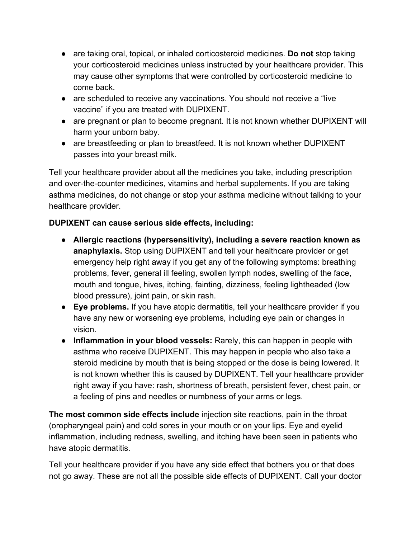- are taking oral, topical, or inhaled corticosteroid medicines. **Do not** stop taking your corticosteroid medicines unless instructed by your healthcare provider. This may cause other symptoms that were controlled by corticosteroid medicine to come back.
- are scheduled to receive any vaccinations. You should not receive a "live" vaccine" if you are treated with DUPIXENT.
- are pregnant or plan to become pregnant. It is not known whether DUPIXENT will harm your unborn baby.
- are breastfeeding or plan to breastfeed. It is not known whether DUPIXENT passes into your breast milk.

Tell your healthcare provider about all the medicines you take, including prescription and over-the-counter medicines, vitamins and herbal supplements. If you are taking asthma medicines, do not change or stop your asthma medicine without talking to your healthcare provider.

#### **DUPIXENT can cause serious side effects, including:**

- **Allergic reactions (hypersensitivity), including a severe reaction known as anaphylaxis.** Stop using DUPIXENT and tell your healthcare provider or get emergency help right away if you get any of the following symptoms: breathing problems, fever, general ill feeling, swollen lymph nodes, swelling of the face, mouth and tongue, hives, itching, fainting, dizziness, feeling lightheaded (low blood pressure), joint pain, or skin rash.
- **Eye problems.** If you have atopic dermatitis, tell your healthcare provider if you have any new or worsening eye problems, including eye pain or changes in vision.
- **Inflammation in your blood vessels:** Rarely, this can happen in people with asthma who receive DUPIXENT. This may happen in people who also take a steroid medicine by mouth that is being stopped or the dose is being lowered. It is not known whether this is caused by DUPIXENT. Tell your healthcare provider right away if you have: rash, shortness of breath, persistent fever, chest pain, or a feeling of pins and needles or numbness of your arms or legs.

**The most common side effects include** injection site reactions, pain in the throat (oropharyngeal pain) and cold sores in your mouth or on your lips. Eye and eyelid inflammation, including redness, swelling, and itching have been seen in patients who have atopic dermatitis.

Tell your healthcare provider if you have any side effect that bothers you or that does not go away. These are not all the possible side effects of DUPIXENT. Call your doctor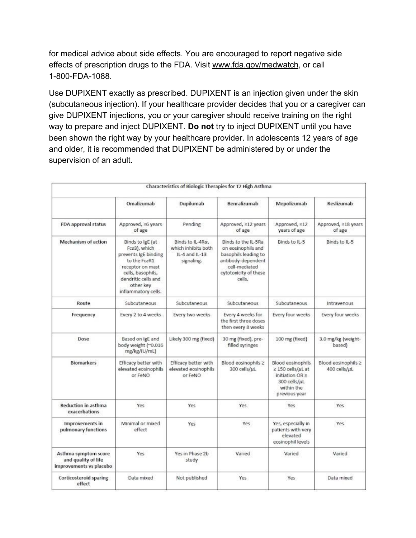for medical advice about side effects. You are encouraged to report negative side effects of prescription drugs to the FDA. Visit [www.fda.gov/medwatch,](http://www.fda.gov/medwatch) or call 1-800-FDA-1088.

Use DUPIXENT exactly as prescribed. DUPIXENT is an injection given under the skin (subcutaneous injection). If your healthcare provider decides that you or a caregiver can give DUPIXENT injections, you or your caregiver should receive training on the right way to prepare and inject DUPIXENT. **Do not** try to inject DUPIXENT until you have been shown the right way by your healthcare provider. In adolescents 12 years of age and older, it is recommended that DUPIXENT be administered by or under the supervision of an adult.

| Characteristics of Biologic Therapies for T2 High Asthma               |                                                                                                                                                                              |                                                                         |                                                                                                                                             |                                                                                                                     |                                             |  |
|------------------------------------------------------------------------|------------------------------------------------------------------------------------------------------------------------------------------------------------------------------|-------------------------------------------------------------------------|---------------------------------------------------------------------------------------------------------------------------------------------|---------------------------------------------------------------------------------------------------------------------|---------------------------------------------|--|
|                                                                        | Omalizumab                                                                                                                                                                   | Dupilumab                                                               | Benralizumab                                                                                                                                | Mepolizumab                                                                                                         | Reslizumab                                  |  |
| FDA approval status                                                    | Approved, ≥6 years<br>of age                                                                                                                                                 | Pending                                                                 | Approved, ≥12 years<br>of age                                                                                                               | Approved, ≥12<br>years of age                                                                                       | Approved, ≥18 years<br>of age               |  |
| <b>Mechanism of action</b>                                             | Binds to IgE (at<br>Fcs3), which<br>prevents IgE binding<br>to the FcgR1<br>receptor on mast<br>cells, basophils,<br>dendritic cells and<br>other key<br>inflammatory cells. | Binds to IL-4Ra,<br>which inhibits both<br>IL-4 and IL-13<br>signaling. | Binds to the IL-5Ra<br>on eosinophils and<br>basophils leading to<br>antibody-dependent<br>cell-mediated<br>cytotoxicity of these<br>cells. | Binds to IL-5                                                                                                       | Binds to IL-5                               |  |
| Route                                                                  | <b>Subcutaneous</b>                                                                                                                                                          | Subcutaneous                                                            | Subcutaneous                                                                                                                                | Subcutaneous                                                                                                        | Intravenous                                 |  |
| Frequency                                                              | Every 2 to 4 weeks                                                                                                                                                           | Every two weeks                                                         | Every 4 weeks for<br>the first three doses.<br>then every 8 weeks                                                                           | Every four weeks                                                                                                    | Every four weeks                            |  |
| Dose                                                                   | Based on IgE and<br>body weight (~0.016<br>mg/kg/IU/mL)                                                                                                                      | Likely 300 mg (fixed)                                                   | 30 mg (fixed), pre-<br>filled syringes                                                                                                      | 100 mg (fixed)                                                                                                      | 3.0 mg/kg (weight-<br>based)                |  |
| <b>Biomarkers</b>                                                      | Efficacy better with<br>elevated eosinophils<br>or FeNO                                                                                                                      | Efficacy better with<br>elevated eosinophils<br>or FeNO                 | Blood eosinophils 2<br>$300$ cells/ $\mu$ L                                                                                                 | Blood eosinophils<br>$\geq$ 150 cells/ $\mu$ L at<br>initiation OR 2<br>300 cells/uL<br>within the<br>previous year | Blood eosinophils ≥<br>$400$ cells/ $\mu$ L |  |
| <b>Reduction in asthma</b><br>exacerbations                            | Yes                                                                                                                                                                          | Yes                                                                     | Yes.                                                                                                                                        | Yes                                                                                                                 | Yes                                         |  |
| Improvements in<br>pulmonary functions                                 | Minimal or mixed<br>effect                                                                                                                                                   | Yes                                                                     | Yes                                                                                                                                         | Yes, especially in<br>patients with very<br>elevated<br>eosinophil levels                                           | Yes                                         |  |
| Asthma symptom score<br>and quality of life<br>improvements vs placebo | Yes                                                                                                                                                                          | Yes in Phase 2b<br>study                                                | Varied                                                                                                                                      | Varied                                                                                                              | Varied                                      |  |
| Corticosteroid sparing<br>effect                                       | Data mixed                                                                                                                                                                   | Not published                                                           | Yes.                                                                                                                                        | Yes                                                                                                                 | Data mixed                                  |  |